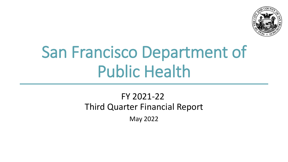

# San Francisco Department of Public Health

### FY 2021-22 Third Quarter Financial Report

May 2022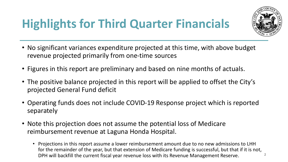# **Highlights for Third Quarter Financials**



- No significant variances expenditure projected at this time, with above budget revenue projected primarily from one-time sources
- Figures in this report are preliminary and based on nine months of actuals.
- The positive balance projected in this report will be applied to offset the City's projected General Fund deficit
- Operating funds does not include COVID-19 Response project which is reported separately
- Note this projection does not assume the potential loss of Medicare reimbursement revenue at Laguna Honda Hospital.
	- Projections in this report assume a lower reimbursement amount due to no new admissions to LHH for the remainder of the year, but that extension of Medicare funding is successful, but that if it is not, DPH will backfill the current fiscal year revenue loss with its Revenue Management Reserve. **2**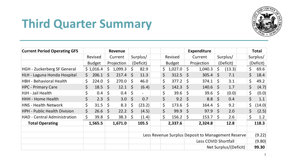

#### **Third Quarter Summary**

| <b>Current Period Operating GFS</b> |              |               |              | Revenue      |         |                          |         |               |         | <b>Expenditure</b>                                 |         |                       |    | <b>Total</b> |
|-------------------------------------|--------------|---------------|--------------|--------------|---------|--------------------------|---------|---------------|---------|----------------------------------------------------|---------|-----------------------|----|--------------|
|                                     |              | Revised       |              | Current      |         | Surplus/                 |         | Revised       |         | Current                                            |         | Surplus/              |    | Surplus/     |
|                                     |              | <b>Budget</b> |              | Projection   |         | (Deficit)                |         | <b>Budget</b> |         | Projection                                         |         | (Deficit)             |    | (Deficit)    |
| <b>HGH - Zuckerberg SF General</b>  |              | \$1,016.4     | \$           | 1,099.3      | \$      | 82.9                     | \$      | $1,027.0$ \$  |         | 1,040.3                                            | \$      | (13.3)                | \$ | 69.6         |
| HLH - Laguna Honda Hospital         | $\mathsf{S}$ | 206.1         | <sup>S</sup> | 217.4        | - \$    | 11.3                     | \$      | 312.5         | - \$    | 305.4                                              | S.      | 7.1                   | \$ | 18.4         |
| <b>HBH - Behavioral Health</b>      | \$.          | 224.0         | $\zeta$      | $270.0$ \$   |         | 46.0                     | $\zeta$ | $377.2$ \$    |         | 374.1                                              | $\zeta$ | 3.1                   | \$ | 49.2         |
| <b>HPC - Primary Care</b>           | \$           | 18.5          | $\zeta$      | $12.1 \pm 5$ |         | (6.4)                    | \$      | $142.3 \quad$ |         | $140.6 \pm 5$                                      |         | 1.7                   | \$ | (4.7)        |
| HJH - Jail Health                   | \$           | 0.4           | $\zeta$      | $0.4$   \$   |         | $\overline{\phantom{a}}$ | \$      | $39.6$ \$     |         | 39.6                                               | \$      | (0.0)                 | \$ | (0.0)        |
| <b>HHH - Home Health</b>            | \$           | 2.3           | $\mathsf{S}$ | 3.0          | $\leq$  | 0.7                      | \$      | 9.2           | $\zeta$ | 8.8                                                | - \$    | 0.4                   | \$ | 1.1          |
| <b>HNS - Health Network</b>         | \$           | 31.5          | $\zeta$      | 8.3          | $\zeta$ | (23.2)                   | \$      | $173.6$ \$    |         | 164.4                                              | \$      | 9.2                   | \$ | (14.0)       |
| <b>HPH - Public Health Division</b> | \$           | 26.6          | $\zeta$      | 22.2         | - \$    | (4.5)                    | \$      | 99.9          | $\zeta$ | 97.9                                               | $\zeta$ | 2.0                   | \$ | (2.5)        |
| <b>HAD - Central Administration</b> | \$           | 39.8          | $\zeta$      | 38.3         | $\zeta$ | (1.4)                    | \$      | $156.2$ \$    |         | 153.7                                              | $\zeta$ | 2.6                   | \$ | 1.2          |
| <b>Total Operating</b>              |              | 1,565.5       |              | 1,671.0      |         | 105.5                    |         | 2,337.6       |         | 2,324.8                                            |         | 12.8                  |    | 118.3        |
|                                     |              |               |              |              |         |                          |         |               |         |                                                    |         |                       |    |              |
|                                     |              |               |              |              |         |                          |         |               |         | Less Revenue Surplus Deposit to Management Reserve |         |                       |    | (9.22)       |
|                                     |              |               |              |              |         |                          |         |               |         | Less COVID Shortfall                               |         |                       |    | (9.80)       |
|                                     |              |               |              |              |         |                          |         |               |         |                                                    |         | Net Surplus/(Deficit) |    | 99.30        |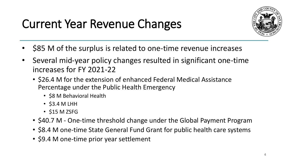# Current Year Revenue Changes



- \$85 M of the surplus is related to one-time revenue increases
- Several mid-year policy changes resulted in significant one-time increases for FY 2021-22
	- \$26.4 M for the extension of enhanced Federal Medical Assistance Percentage under the Public Health Emergency
		- \$8 M Behavioral Health
		- $\cdot$  \$3.4 M LHH
		- $\cdot$  \$15 M ZSFG
	- \$40.7 M One-time threshold change under the Global Payment Program
	- \$8.4 M one-time State General Fund Grant for public health care systems
	- \$9.4 M one-time prior year settlement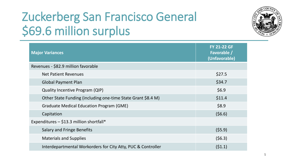# Zuckerberg San Francisco General \$69.6 million surplus



| <b>Major Variances</b>                                       | <b>FY 21-22 GF</b><br>Favorable /<br>(Unfavorable) |
|--------------------------------------------------------------|----------------------------------------------------|
| Revenues - \$82.9 million favorable                          |                                                    |
| <b>Net Patient Revenues</b>                                  | \$27.5                                             |
| <b>Global Payment Plan</b>                                   | \$34.7                                             |
| <b>Quality Incentive Program (QIP)</b>                       | \$6.9                                              |
| Other State Funding (including one-time State Grant \$8.4 M) | \$11.4                                             |
| <b>Graduate Medical Education Program (GME)</b>              | \$8.9                                              |
| Capitation                                                   | (56.6)                                             |
| Expenditures $-$ \$13.3 million shortfall*                   |                                                    |
| <b>Salary and Fringe Benefits</b>                            | (55.9)                                             |
| <b>Materials and Supplies</b>                                | (56.3)                                             |
| Interdepartmental Workorders for City Atty, PUC & Controller | (51.1)                                             |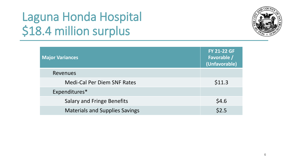# Laguna Honda Hospital \$18.4 million surplus



| <b>Major Variances</b>                | <b>FY 21-22 GF</b><br>Favorable /<br>(Unfavorable) |
|---------------------------------------|----------------------------------------------------|
| Revenues                              |                                                    |
| <b>Medi-Cal Per Diem SNF Rates</b>    | \$11.3                                             |
| Expenditures*                         |                                                    |
| <b>Salary and Fringe Benefits</b>     | \$4.6                                              |
| <b>Materials and Supplies Savings</b> | \$2.5                                              |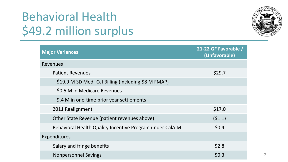# Behavioral Health \$49.2 million surplus



| <b>Major Variances</b>                                   | 21-22 GF Favorable /<br>(Unfavorable) |
|----------------------------------------------------------|---------------------------------------|
| <b>Revenues</b>                                          |                                       |
| <b>Patient Revenues</b>                                  | \$29.7                                |
| - \$19.9 M SD Medi-Cal Billing (including \$8 M FMAP)    |                                       |
| - \$0.5 M in Medicare Revenues                           |                                       |
| -9.4 M in one-time prior year settlements                |                                       |
| 2011 Realignment                                         | \$17.0                                |
| Other State Revenue (patient revenues above)             | (51.1)                                |
| Behavioral Health Quality Incentive Program under CalAIM | \$0.4\$                               |
| Expenditures                                             |                                       |
| Salary and fringe benefits                               | \$2.8                                 |
| <b>Nonpersonnel Savings</b>                              | \$0.3                                 |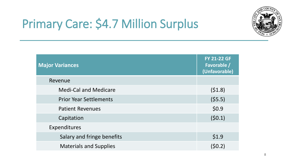

# Primary Care: \$4.7 Million Surplus

| <b>Major Variances</b>        | <b>FY 21-22 GF</b><br>Favorable /<br>(Unfavorable) |
|-------------------------------|----------------------------------------------------|
| Revenue                       |                                                    |
| <b>Medi-Cal and Medicare</b>  | (51.8)                                             |
| <b>Prior Year Settlements</b> | (55.5)                                             |
| <b>Patient Revenues</b>       | \$0.9                                              |
| Capitation                    | (50.1)                                             |
| Expenditures                  |                                                    |
| Salary and fringe benefits    | \$1.9                                              |
| <b>Materials and Supplies</b> | (50.2)                                             |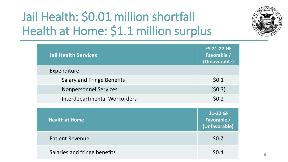# Jail Health: \$0.01 million shortfall Health at Home: \$1.1 million surplus



| <b>Jail Health Services</b>       | <b>FY 21-22 GF</b><br>Favorable /<br>(Unfavorable) |
|-----------------------------------|----------------------------------------------------|
| Expenditure                       |                                                    |
| <b>Salary and Fringe Benefits</b> | \$0.1                                              |
| <b>Nonpersonnel Services</b>      | (50.3)                                             |
| Interdepartmental Workorders      | \$0.2\$                                            |
|                                   |                                                    |
| <b>Health at Home</b>             | 21-22 GF<br>Favorable /<br>(Unfavorable)           |
| <b>Patient Revenue</b>            | \$0.7                                              |
| Salaries and fringe benefits      | \$0.4                                              |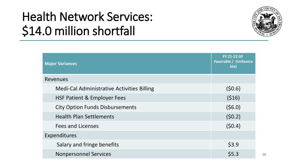# Health Network Services: \$14.0 million shortfall



| <b>Major Variances</b>                            | <b>FY 21-22 GF</b><br>Favorable / (Unfavora<br>ble) |
|---------------------------------------------------|-----------------------------------------------------|
| Revenues                                          |                                                     |
| <b>Medi-Cal Administrative Activities Billing</b> | (50.6)                                              |
| <b>HSF Patient &amp; Employer Fees</b>            | (516)                                               |
| <b>City Option Funds Disbursements</b>            | (56.0)                                              |
| <b>Health Plan Settlements</b>                    | (50.2)                                              |
| <b>Fees and Licenses</b>                          | (50.4)                                              |
| Expenditures                                      |                                                     |
| Salary and fringe benefits                        | \$3.9                                               |
| <b>Nonpersonnel Services</b>                      | \$5.3                                               |

**10**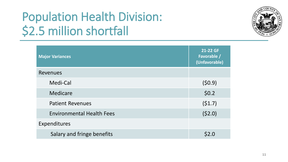# Population Health Division: \$2.5 million shortfall



| <b>Major Variances</b>           | 21-22 GF<br>Favorable /<br>(Unfavorable) |
|----------------------------------|------------------------------------------|
| Revenues                         |                                          |
| Medi-Cal                         | (50.9)                                   |
| Medicare                         | \$0.2\$                                  |
| <b>Patient Revenues</b>          | (51.7)                                   |
| <b>Environmental Health Fees</b> | (52.0)                                   |
| Expenditures                     |                                          |
| Salary and fringe benefits       | \$2.0                                    |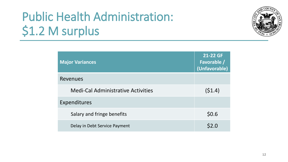# Public Health Administration: \$1.2 M surplus



| <b>Major Variances</b>                    | 21-22 GF<br>Favorable /<br>(Unfavorable) |
|-------------------------------------------|------------------------------------------|
| Revenues                                  |                                          |
| <b>Medi-Cal Administrative Activities</b> | (51.4)                                   |
| Expenditures                              |                                          |
| Salary and fringe benefits                | \$0.6                                    |
| Delay in Debt Service Payment             | \$2.0                                    |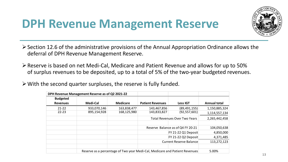### **DPH Revenue Management Reserve**



 $\geq$  Section 12.6 of the administrative provisions of the Annual Appropriation Ordinance allows the deferral of DPH Revenue Management Reserve.

➢Reserve is based on net Medi-Cal, Medicare and Patient Revenue and allows for up to 50% of surplus revenues to be deposited, up to a total of 5% of the two-year budgeted revenues.

➢With the second quarter surpluses, the reserve is fully funded.

|                 | DPH Revenue Management Reserve as of Q2 2021-22 |                 |                                      |                                                                             |                     |
|-----------------|-------------------------------------------------|-----------------|--------------------------------------|-----------------------------------------------------------------------------|---------------------|
| <b>Budgeted</b> |                                                 |                 |                                      |                                                                             |                     |
| <b>Revenues</b> | Medi-Cal                                        | <b>Medicare</b> | <b>Patient Revenues</b>              | <b>Less IGT</b>                                                             | <b>Annual total</b> |
| $21 - 22$       | 933,070,146                                     | 163,838,477     | 143,467,856                          | (89, 491, 155)                                                              | 1,150,885,324       |
| $22 - 23$       | 895,154,928                                     | 168,125,980     | 143,833,827                          | (92, 557, 601)                                                              | 1,114,557,134       |
|                 |                                                 |                 | <b>Total Revenues Over Two Years</b> |                                                                             | 2,265,442,458       |
|                 |                                                 |                 |                                      |                                                                             |                     |
|                 |                                                 |                 |                                      | Reserve Balance as of Q4 FY 20-21                                           | 104,050,638         |
|                 |                                                 |                 |                                      | FY 21-22 Q1 Deposit                                                         | 4,850,000           |
|                 |                                                 |                 |                                      | <b>FY 21-22 Q2 Deposit</b>                                                  | 4,371,485           |
|                 |                                                 |                 |                                      | <b>Current Reserve Balance</b>                                              | 113,272,123         |
|                 |                                                 |                 |                                      |                                                                             |                     |
|                 |                                                 |                 |                                      | Reserve as a percentage of Two year Medi-Cal, Medicare and Patient Revenues | 5.00%               |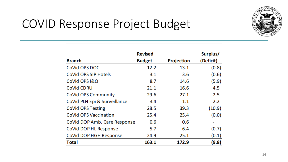

### COVID Response Project Budget

|                              | <b>Revised</b> |            | Surplus/  |
|------------------------------|----------------|------------|-----------|
| <b>Branch</b>                | <b>Budget</b>  | Projection | (Deficit) |
| CoVid OPS DOC                | 12.2           | 13.1       | (0.8)     |
| CoVid OPS SIP Hotels         | 3.1            | 3.6        | (0.6)     |
| CoVid OPS I&Q                | 8.7            | 14.6       | (5.9)     |
| CoVid CDRU                   | 21.1           | 16.6       | 4.5       |
| <b>CoVid OPS Community</b>   | 29.6           | 27.1       | 2.5       |
| CoVid PLN Epi & Surveillance | 3.4            | 1.1        | 2.2       |
| CoVid OPS Testing            | 28.5           | 39.3       | (10.9)    |
| <b>CoVid OPS Vaccination</b> | 25.4           | 25.4       | (0.0)     |
| CoVid DOP Amb. Care Response | 0.6            | 0.6        |           |
| CoVid DOP HL Response        | 5.7            | 6.4        | (0.7)     |
| CoVid DOP HGH Response       | 24.9           | 25.1       | (0.1)     |
| <b>Total</b>                 | 163.1          | 172.9      | (9.8)     |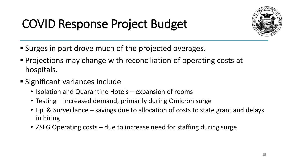# COVID Response Project Budget



- Surges in part drove much of the projected overages.
- Projections may change with reconciliation of operating costs at hospitals.
- Significant variances include
	- Isolation and Quarantine Hotels expansion of rooms
	- Testing increased demand, primarily during Omicron surge
	- Epi & Surveillance savings due to allocation of costs to state grant and delays in hiring
	- ZSFG Operating costs due to increase need for staffing during surge